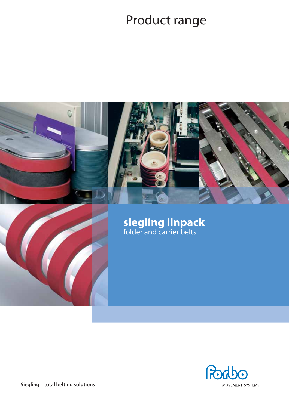# Product range





**Siegling – total belting solutions**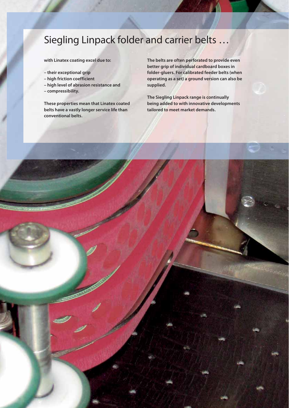## Siegling Linpack folder and carrier belts …

**with Linatex coating excel due to:**

- **their exceptional grip**
- **high friction coefficient**
- **high level of abrasion resistance and**
- **compressibility.**

**These properties mean that Linatex coated belts have a vastly longer service life than conventional belts.**

**The belts are often perforated to provide even better grip of individual cardboard boxes in folder-gluers. For calibrated feeder belts (when operating as a set) a ground version can also be supplied.**

**The Siegling Linpack range is continually being added to with innovative developments tailored to meet market demands.**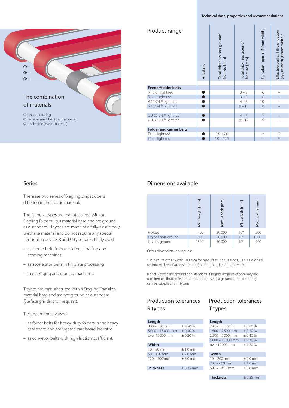#### **Technical data, properties and recommendations**



| Product range                     | Antistatic | Total thickness non-ground <sup>2)</sup><br>from/to [mm] | Total thickness ground <sup>3)</sup><br>from/to [mm] | F <sub>w</sub> -value approx. [N/mm width] | Effective pull at 1% elongation<br>(k <sub>1%</sub> relaxed) [N/mm width]* |
|-----------------------------------|------------|----------------------------------------------------------|------------------------------------------------------|--------------------------------------------|----------------------------------------------------------------------------|
|                                   |            |                                                          |                                                      |                                            |                                                                            |
| <b>Feeder/folder belts</b>        |            |                                                          |                                                      |                                            |                                                                            |
| RT 6-L <sup>1)</sup> light red    |            |                                                          | $3 - 8$                                              | 6                                          |                                                                            |
| R6-L <sup>1)</sup> light red      |            |                                                          | $3 - 8$                                              | 6                                          |                                                                            |
| R 10/2-L <sup>1)</sup> light red  |            |                                                          | $4 - 8$                                              | 10                                         |                                                                            |
| R 10/3-L <sup>1)</sup> light red  |            |                                                          | $8 - 15$                                             | 10                                         |                                                                            |
|                                   |            |                                                          |                                                      |                                            |                                                                            |
| UU 20 U-L <sup>1)</sup> light red |            |                                                          | $4 - 7$                                              | 4)                                         |                                                                            |
| UU 60 U-L <sup>1)</sup> light red |            |                                                          | $8 - 12$                                             | 4)                                         |                                                                            |
| <b>Folder and carrier belts</b>   |            |                                                          |                                                      |                                            |                                                                            |
| T1-L <sup>1)</sup> light red      |            | $3.5 - 7.0$                                              |                                                      |                                            | 5)                                                                         |
| T2-L <sup>1)</sup> light red      |            | $5.0 - 12.5$                                             |                                                      |                                            | 5)                                                                         |

#### Series

There are two series of Siegling Linpack belts differing in their basic material.

The R and U types are manufactured with an Siegling Extremultus material base and are ground as a standard. U types are made of a fully elastic polyurethane material and do not require any special tensioning device. R and U types are chiefly used:

- as feeder belts in box folding, labelling and creasing machines
- as accelerator belts in tin plate processing
- in packaging and glueing machines.

T types are manufactured with a Siegling Transilon material base and are not ground as a standard. (Surface grinding on request).

T types are mostly used:

- as folder belts for heavy-duty folders in the heavy cardboard and corrugated cardboard industry
- as conveyor belts with high friction coefficient.

#### Dimensions available

|                    | [mm]<br>length<br>Min. | $\lfloor mm \rfloor$<br>length<br>Max. | width [mm]<br>Min. | Max. width [mm] |
|--------------------|------------------------|----------------------------------------|--------------------|-----------------|
| R types            | 400                    | 30 000                                 | $10*$              | 500             |
| T types non-ground | 1500                   | 50 000                                 | $10*$              | 1500            |
| T types ground     | 1500                   | 30 000                                 | $10*$              | 900             |

Other dimensions on request.

\* Minimum order width 100 mm for manufacturing reasons. Can be divided up into widths of at least 10 mm (minimum order amount  $= 10$ ).

R and U types are ground as a standard. If higher degrees of accuracy are required (calibrated feeder belts and belt sets) a ground Linatex coating can be supplied for T types.

#### Production tolerances R types

| Length            |          |
|-------------------|----------|
| $300 - 5000$ mm   | $+0.50%$ |
| $5000 - 15000$ mm | $+0.30%$ |
| over 15000 mm     | $+0.20%$ |
| Width             |          |

| $120 - 500$ mm | $+3.0$ mm  |
|----------------|------------|
| $50 - 120$ mm  | $± 2.0$ mm |
| $10 - 50$ mm   | $+1.0$ mm  |

#### **Thickness** ± 0.25 mm

|         |  | <b>Production tolerances</b> |
|---------|--|------------------------------|
| T types |  |                              |

| Length            |            |
|-------------------|------------|
| $700 - 1500$ mm   | ±0.80%     |
| $1500 - 2500$ mm  | $+0.50%$   |
| $2500 - 5000$ mm  | $+0.40%$   |
| $5000 - 10000$ mm | $+0.30%$   |
| over 10,000 mm    | $+0.20%$   |
|                   |            |
| Width             |            |
| $10 - 200$ mm     | $± 2.0$ mm |
| $200 - 600$ mm    | $+4.0$ mm  |

 **Thickness** ± 0.25 mm

 $600 - 1400$  mm  $\pm 6.0$  mm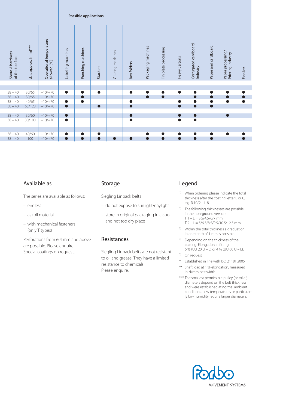|                                     |                                  |                                         |                    | <b>Possible applications</b> |                 |                  |             |                    |                      |               |                                  |                     |                                        |         |
|-------------------------------------|----------------------------------|-----------------------------------------|--------------------|------------------------------|-----------------|------------------|-------------|--------------------|----------------------|---------------|----------------------------------|---------------------|----------------------------------------|---------|
| Shore A hardness<br>of the top face | d <sub>min</sub> approx. [mm]*** | Operational temperature<br>allowed [°C] | Labelling machines | Punching machines            | <b>Stackers</b> | Glueing machines | Box folders | Packaging machines | Tin plate processing | Heavy cartons | Corrugated cardboard<br>industry | Paper and cardboard | Paper processing/<br>Printing industry | Feeders |
|                                     |                                  |                                         |                    |                              |                 |                  |             |                    |                      |               |                                  |                     |                                        |         |
| $38 - 40$                           | 30/65                            | $+10/+70$                               | $\bullet$          | $\bullet$                    | $\bullet$       |                  |             |                    | $\bullet$            | $\bullet$     | $\bullet$                        | $\bullet$           | $\bullet$                              |         |
| $38 - 40$                           | 30/65                            | $+10/+70$                               |                    | $\bullet$                    |                 |                  |             | $\bullet$          | $\bullet$            |               | $\bullet$                        | $\bullet$           |                                        |         |
| $38 - 40$                           | 40/65                            | $+10/+70$                               | $\bullet$          | $\bullet$                    |                 |                  |             |                    |                      |               | $\bullet$                        | $\bullet$           | $\bullet$                              |         |
| $38 - 40$                           | 65/120                           | $+10/+70$                               | $\bullet$          |                              | $\bullet$       |                  | $\bullet$   |                    |                      | $\bullet$     | $\bullet$                        | $\bullet$           |                                        |         |
|                                     | 30/60                            |                                         | $\bullet$          |                              |                 |                  |             |                    |                      | $\bullet$     |                                  |                     | $\bullet$                              |         |
| $38 - 40$<br>$38 - 40$              | 30/100                           | $+10/+70$<br>$+10/+70$                  | $\bullet$          |                              |                 |                  |             |                    |                      | $\bullet$     | $\bullet$<br>$\bullet$           |                     |                                        |         |
|                                     |                                  |                                         |                    |                              |                 |                  |             |                    |                      |               |                                  |                     |                                        |         |
|                                     |                                  |                                         |                    |                              |                 |                  |             |                    |                      |               |                                  |                     |                                        |         |
| $38 - 40$                           | 40/60                            | $+10/+70$                               | $\bullet$          | $\bullet$                    | $\bullet$       |                  |             | 0                  | $\bullet$            | $\bullet$     | $\bullet$                        | $\bullet$           | $\bullet$                              |         |
| $38 - 40$                           | 100                              | $+10/+70$                               | $\bullet$          | $\bullet$                    | $\bullet$       |                  |             | $\bullet$          | $\bullet$            | $\bullet$     | $\bullet$                        | $\bullet$           |                                        |         |

#### Available as

The series are available as follows:

- endless
- as roll material
- with mechanical fasteners (only T types)

Perforations from ø 4 mm and above are possible. Please enquire. Special coatings on request.

#### Storage

Siegling Linpack belts

- do not expose to sunlight/daylight
- store in original packaging in a cool and not too dry place

#### Resistances

Siegling Linpack belts are not resistant to oil and grease. They have a limited resistance to chemicals. Please enquire.

#### Legend

- 1) When ordering please indicate the total thickness after the coating letter L or U, e.g. R 10/2 – L 8.
- 2) The following thicknesses are possible in the non-ground version:  $T 1 - L = 3.5/4.5/6/7$  mm  $T$  2 – L = 5/6.5/8.5/9.5/10.5/12.5 mm
- 3) Within the total thickness a graduation in one tenth of 1 mm is possible.
- 4) Depending on the thickness of the coating. Elongation at fitting: 6 % (UU 20 U – L) or 4 % (UU 60 U – L).
- 5) On request
- Established in line with ISO 21181:2005
- \*\* Shaft load at 1 % elongation, measured in N/mm belt width.
- \*\*\* The smallest permissible pulley (or roller) diameters depend on the belt thickness and were established at normal ambient conditions. Low temperatures or particularly low humidity require larger diameters.

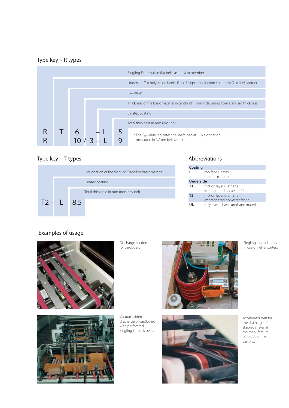#### Type key – R types



### Type key – T types

|              | Designation of the Siegling Transilon basic material |
|--------------|------------------------------------------------------|
|              | Linatex coating                                      |
|              | Total thickness in mm (non-ground)                   |
| $T2 - L$ 8.5 |                                                      |
|              |                                                      |

#### Abbreviations

| Coating        |                                                         |
|----------------|---------------------------------------------------------|
|                | top face Linatex<br>(natural rubber)                    |
| Underside      |                                                         |
| <b>T1</b>      | friction layer urethane<br>impregnated polyester fabric |
| T <sub>2</sub> | friction layer urethane                                 |
|                | impregnated polyester fabric                            |
| w              | fully elastic basic urethane material                   |

### Examples of usage



Discharge section for cardboard.





Vacuum-aided discharge of cardboard with perforated Siegling Linpack belts.



Siegling Linpack belts in use on letter sorters.

Accelerator belt for the discharge of stacked material in the manufacture of folded drinks cartons.